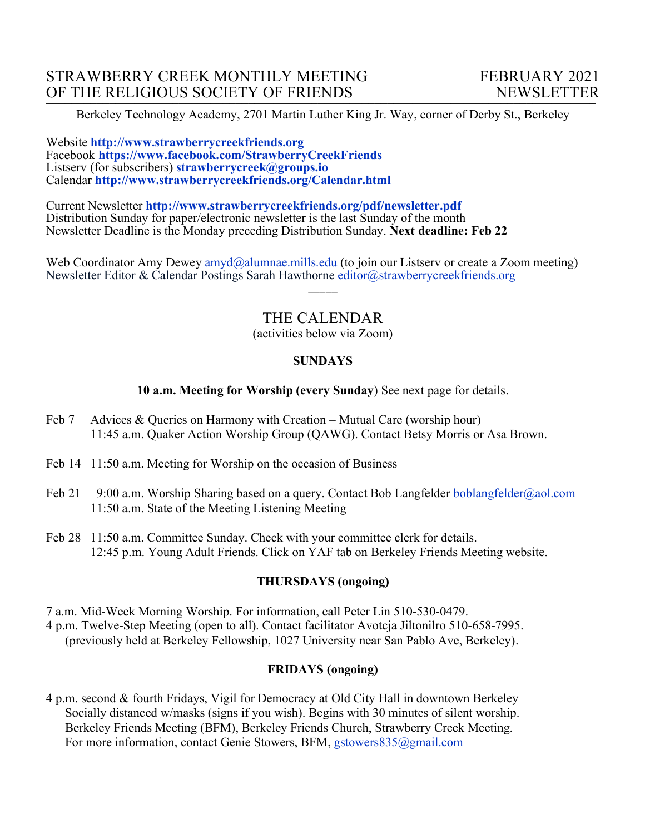Berkeley Technology Academy, 2701 Martin Luther King Jr. Way, corner of Derby St., Berkeley

Website **http://www.strawberrycreekfriends.org**  Facebook **https://www.facebook.com/StrawberryCreekFriends** Listserv (for subscribers) **strawberrycreek@groups.io** Calendar **http://www.strawberrycreekfriends.org/Calendar.html**

Current Newsletter **http://www.strawberrycreekfriends.org/pdf/newsletter.pdf** Distribution Sunday for paper/electronic newsletter is the last Sunday of the month Newsletter Deadline is the Monday preceding Distribution Sunday. **Next deadline: Feb 22**

Web Coordinator Amy Dewey amyd@alumnae.mills.edu (to join our Listsery or create a Zoom meeting) Newsletter Editor & Calendar Postings Sarah Hawthorne editor@strawberrycreekfriends.org

# THE CALENDAR

 $\overline{\phantom{a}}$ 

(activities below via Zoom)

### **SUNDAYS**

### **10 a.m. Meeting for Worship (every Sunday**) See next page for details.

- Feb 7 Advices & Queries on Harmony with Creation Mutual Care (worship hour) 11:45 a.m. Quaker Action Worship Group (QAWG). Contact Betsy Morris or Asa Brown.
- Feb 14 11:50 a.m. Meeting for Worship on the occasion of Business
- Feb 21 9:00 a.m. Worship Sharing based on a query. Contact Bob Langfelder boblangfelder@aol.com 11:50 a.m. State of the Meeting Listening Meeting
- Feb 28 11:50 a.m. Committee Sunday. Check with your committee clerk for details. 12:45 p.m. Young Adult Friends. Click on YAF tab on Berkeley Friends Meeting website.

### **THURSDAYS (ongoing)**

7 a.m. Mid-Week Morning Worship. For information, call Peter Lin 510-530-0479. 4 p.m. Twelve-Step Meeting (open to all). Contact facilitator Avotcja Jiltonilro 510-658-7995. (previously held at Berkeley Fellowship, 1027 University near San Pablo Ave, Berkeley).

### **FRIDAYS (ongoing)**

4 p.m. second & fourth Fridays, Vigil for Democracy at Old City Hall in downtown Berkeley Socially distanced w/masks (signs if you wish). Begins with 30 minutes of silent worship. Berkeley Friends Meeting (BFM), Berkeley Friends Church, Strawberry Creek Meeting. For more information, contact Genie Stowers, BFM, gstowers835@gmail.com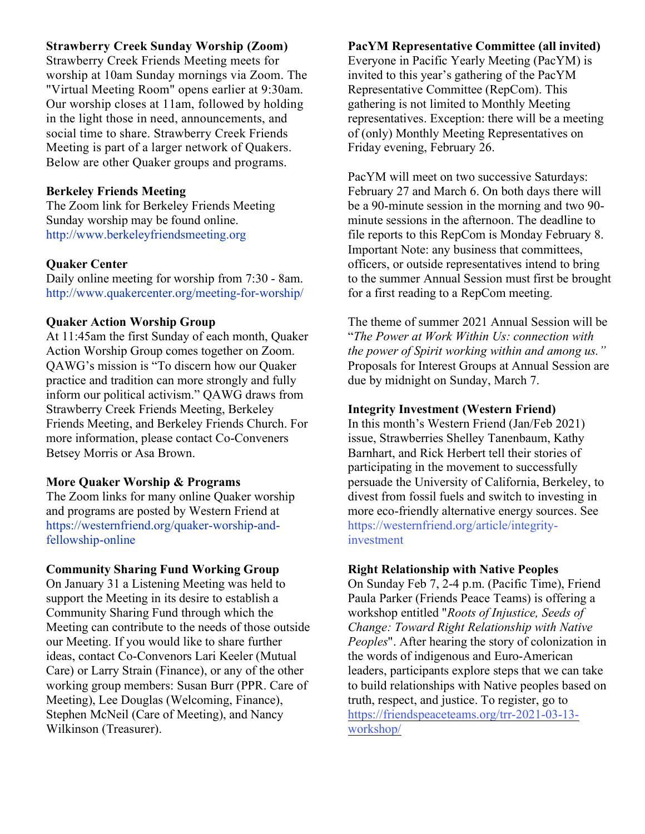# **Strawberry Creek Sunday Worship (Zoom)**

Strawberry Creek Friends Meeting meets for worship at 10am Sunday mornings via Zoom. The "Virtual Meeting Room" opens earlier at 9:30am. Our worship closes at 11am, followed by holding in the light those in need, announcements, and social time to share. Strawberry Creek Friends Meeting is part of a larger network of Quakers. Below are other Quaker groups and programs.

# **Berkeley Friends Meeting**

The Zoom link for Berkeley Friends Meeting Sunday worship may be found online. http://www.berkeleyfriendsmeeting.org

# **Quaker Center**

Daily online meeting for worship from 7:30 - 8am. http://www.quakercenter.org/meeting-for-worship/

# **Quaker Action Worship Group**

At 11:45am the first Sunday of each month, Quaker Action Worship Group comes together on Zoom. QAWG's mission is "To discern how our Quaker practice and tradition can more strongly and fully inform our political activism." QAWG draws from Strawberry Creek Friends Meeting, Berkeley Friends Meeting, and Berkeley Friends Church. For more information, please contact Co-Conveners Betsey Morris or Asa Brown.

# **More Quaker Worship & Programs**

The Zoom links for many online Quaker worship and programs are posted by Western Friend at https://westernfriend.org/quaker-worship-andfellowship-online

# **Community Sharing Fund Working Group**

On January 31 a Listening Meeting was held to support the Meeting in its desire to establish a Community Sharing Fund through which the Meeting can contribute to the needs of those outside our Meeting. If you would like to share further ideas, contact Co-Convenors Lari Keeler (Mutual Care) or Larry Strain (Finance), or any of the other working group members: Susan Burr (PPR. Care of Meeting), Lee Douglas (Welcoming, Finance), Stephen McNeil (Care of Meeting), and Nancy Wilkinson (Treasurer).

# **PacYM Representative Committee (all invited)**

Everyone in Pacific Yearly Meeting (PacYM) is invited to this year's gathering of the PacYM Representative Committee (RepCom). This gathering is not limited to Monthly Meeting representatives. Exception: there will be a meeting of (only) Monthly Meeting Representatives on Friday evening, February 26.

PacYM will meet on two successive Saturdays: February 27 and March 6. On both days there will be a 90-minute session in the morning and two 90 minute sessions in the afternoon. The deadline to file reports to this RepCom is Monday February 8. Important Note: any business that committees, officers, or outside representatives intend to bring to the summer Annual Session must first be brought for a first reading to a RepCom meeting.

The theme of summer 2021 Annual Session will be "*The Power at Work Within Us: connection with the power of Spirit working within and among us."* Proposals for Interest Groups at Annual Session are due by midnight on Sunday, March 7.

# **Integrity Investment (Western Friend)**

In this month's Western Friend (Jan/Feb 2021) issue, Strawberries Shelley Tanenbaum, Kathy Barnhart, and Rick Herbert tell their stories of participating in the movement to successfully persuade the University of California, Berkeley, to divest from fossil fuels and switch to investing in more eco-friendly alternative energy sources. See https://westernfriend.org/article/integrityinvestment

# **Right Relationship with Native Peoples**

On Sunday Feb 7, 2-4 p.m. (Pacific Time), Friend Paula Parker (Friends Peace Teams) is offering a workshop entitled "*Roots of Injustice, Seeds of Change: Toward Right Relationship with Native Peoples*". After hearing the story of colonization in the words of indigenous and Euro-American leaders, participants explore steps that we can take to build relationships with Native peoples based on truth, respect, and justice. To register, go to https://friendspeaceteams.org/trr-2021-03-13 workshop/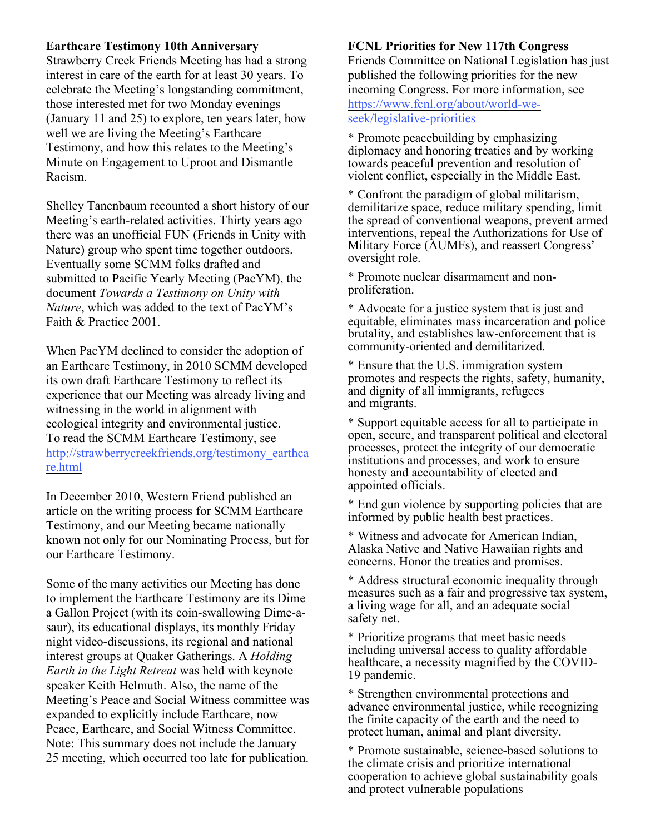### **Earthcare Testimony 10th Anniversary**

Strawberry Creek Friends Meeting has had a strong interest in care of the earth for at least 30 years. To celebrate the Meeting's longstanding commitment, those interested met for two Monday evenings (January 11 and 25) to explore, ten years later, how well we are living the Meeting's Earthcare Testimony, and how this relates to the Meeting's Minute on Engagement to Uproot and Dismantle Racism.

Shelley Tanenbaum recounted a short history of our Meeting's earth-related activities. Thirty years ago there was an unofficial FUN (Friends in Unity with Nature) group who spent time together outdoors. Eventually some SCMM folks drafted and submitted to Pacific Yearly Meeting (PacYM), the document *Towards a Testimony on Unity with Nature*, which was added to the text of PacYM's Faith & Practice 2001.

When PacYM declined to consider the adoption of an Earthcare Testimony, in 2010 SCMM developed its own draft Earthcare Testimony to reflect its experience that our Meeting was already living and witnessing in the world in alignment with ecological integrity and environmental justice. To read the SCMM Earthcare Testimony, see http://strawberrycreekfriends.org/testimony\_earthca re.html

In December 2010, Western Friend published an article on the writing process for SCMM Earthcare Testimony, and our Meeting became nationally known not only for our Nominating Process, but for our Earthcare Testimony.

Some of the many activities our Meeting has done to implement the Earthcare Testimony are its Dime a Gallon Project (with its coin-swallowing Dime-asaur), its educational displays, its monthly Friday night video-discussions, its regional and national interest groups at Quaker Gatherings. A *Holding Earth in the Light Retreat* was held with keynote speaker Keith Helmuth. Also, the name of the Meeting's Peace and Social Witness committee was expanded to explicitly include Earthcare, now Peace, Earthcare, and Social Witness Committee. Note: This summary does not include the January 25 meeting, which occurred too late for publication.

## **FCNL Priorities for New 117th Congress**

Friends Committee on National Legislation has just published the following priorities for the new incoming Congress. For more information, see https://www.fcnl.org/about/world-weseek/legislative-priorities

\* Promote peacebuilding by emphasizing diplomacy and honoring treaties and by working towards peaceful prevention and resolution of violent conflict, especially in the Middle East.

\* Confront the paradigm of global militarism, demilitarize space, reduce military spending, limit the spread of conventional weapons, prevent armed interventions, repeal the Authorizations for Use of Military Force (AUMFs), and reassert Congress' oversight role.

\* Promote nuclear disarmament and nonproliferation.

\* Advocate for a justice system that is just and equitable, eliminates mass incarceration and police brutality, and establishes law-enforcement that is community-oriented and demilitarized.

\* Ensure that the U.S. immigration system promotes and respects the rights, safety, humanity, and dignity of all immigrants, refugees and migrants.

\* Support equitable access for all to participate in open, secure, and transparent political and electoral processes, protect the integrity of our democratic institutions and processes, and work to ensure honesty and accountability of elected and appointed officials.

\* End gun violence by supporting policies that are informed by public health best practices.

\* Witness and advocate for American Indian, Alaska Native and Native Hawaiian rights and concerns. Honor the treaties and promises.

\* Address structural economic inequality through measures such as a fair and progressive tax system, a living wage for all, and an adequate social safety net.

\* Prioritize programs that meet basic needs including universal access to quality affordable healthcare, <sup>a</sup> necessity magnified by the COVID- <sup>19</sup> pandemic.

\* Strengthen environmental protections and advance environmental justice, while recognizing the finite capacity of the earth and the need to protect human, animal and plant diversity.

\* Promote sustainable, science-based solutions to the climate crisis and prioritize international cooperation to achieve global sustainability goals and protect vulnerable populations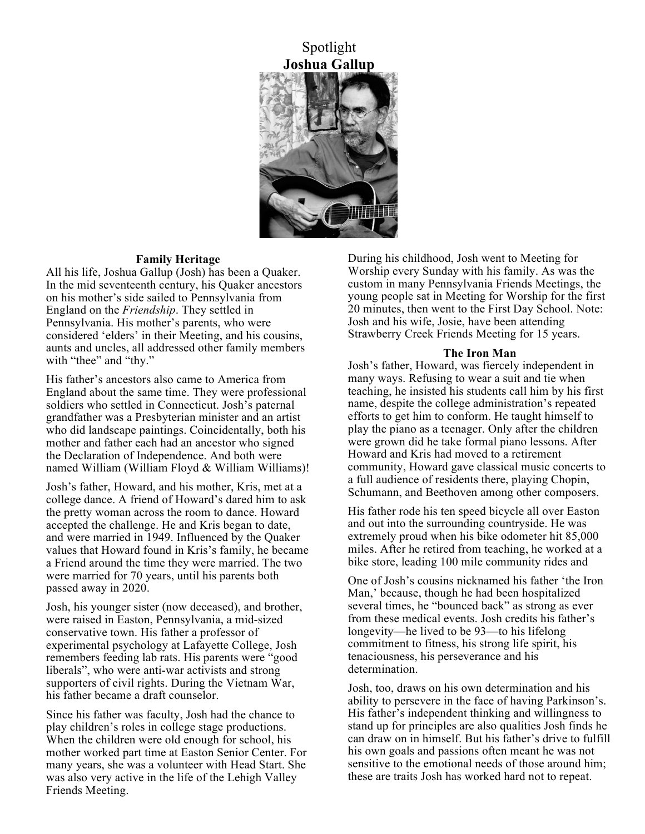

#### **Family Heritage**

All his life, Joshua Gallup (Josh) has been a Quaker. In the mid seventeenth century, his Quaker ancestors on his mother's side sailed to Pennsylvania from England on the *Friendship*. They settled in Pennsylvania. His mother's parents, who were considered 'elders' in their Meeting, and his cousins, aunts and uncles, all addressed other family members with "thee" and "thy."

His father's ancestors also came to America from England about the same time. They were professional soldiers who settled in Connecticut. Josh's paternal grandfather was a Presbyterian minister and an artist who did landscape paintings. Coincidentally, both his mother and father each had an ancestor who signed the Declaration of Independence. And both were named William (William Floyd & William Williams)!

Josh's father, Howard, and his mother, Kris, met at a college dance. A friend of Howard's dared him to ask the pretty woman across the room to dance. Howard accepted the challenge. He and Kris began to date, and were married in 1949. Influenced by the Quaker values that Howard found in Kris's family, he became a Friend around the time they were married. The two were married for 70 years, until his parents both passed away in 2020.

Josh, his younger sister (now deceased), and brother, were raised in Easton, Pennsylvania, a mid-sized conservative town. His father a professor of experimental psychology at Lafayette College, Josh remembers feeding lab rats. His parents were "good liberals", who were anti-war activists and strong supporters of civil rights. During the Vietnam War, his father became a draft counselor.

Since his father was faculty, Josh had the chance to play children's roles in college stage productions. When the children were old enough for school, his mother worked part time at Easton Senior Center. For many years, she was a volunteer with Head Start. She was also very active in the life of the Lehigh Valley Friends Meeting.

During his childhood, Josh went to Meeting for Worship every Sunday with his family. As was the custom in many Pennsylvania Friends Meetings, the young people sat in Meeting for Worship for the first 20 minutes, then went to the First Day School. Note: Josh and his wife, Josie, have been attending Strawberry Creek Friends Meeting for 15 years.

#### **The Iron Man**

Josh's father, Howard, was fiercely independent in many ways. Refusing to wear a suit and tie when teaching, he insisted his students call him by his first name, despite the college administration's repeated efforts to get him to conform. He taught himself to play the piano as a teenager. Only after the children were grown did he take formal piano lessons. After Howard and Kris had moved to a retirement community, Howard gave classical music concerts to a full audience of residents there, playing Chopin, Schumann, and Beethoven among other composers.

His father rode his ten speed bicycle all over Easton and out into the surrounding countryside. He was extremely proud when his bike odometer hit 85,000 miles. After he retired from teaching, he worked at a bike store, leading 100 mile community rides and

One of Josh's cousins nicknamed his father 'the Iron Man,' because, though he had been hospitalized several times, he "bounced back" as strong as ever from these medical events. Josh credits his father's longevity—he lived to be 93—to his lifelong commitment to fitness, his strong life spirit, his tenaciousness, his perseverance and his determination.

Josh, too, draws on his own determination and his ability to persevere in the face of having Parkinson's. His father's independent thinking and willingness to stand up for principles are also qualities Josh finds he can draw on in himself. But his father's drive to fulfill his own goals and passions often meant he was not sensitive to the emotional needs of those around him; these are traits Josh has worked hard not to repeat.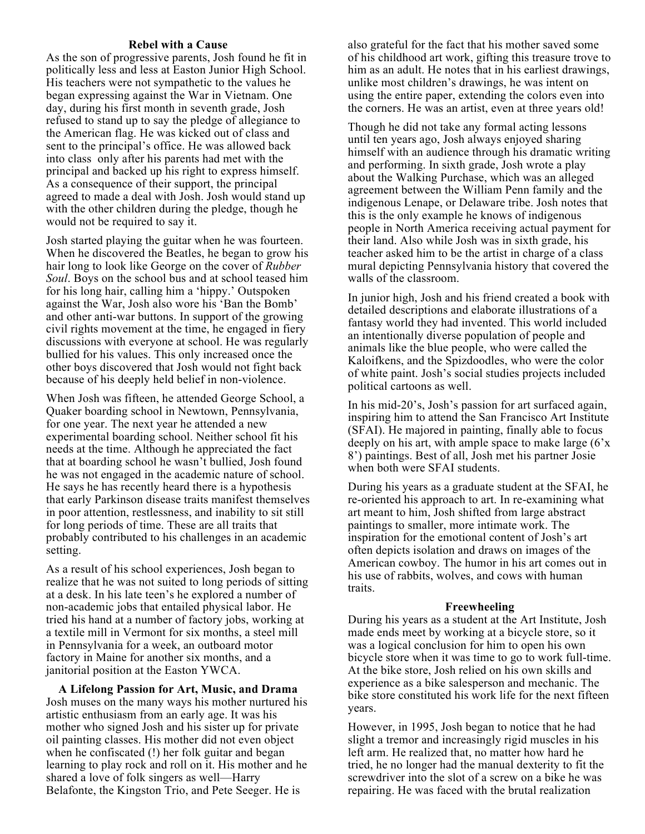#### **Rebel with a Cause**

As the son of progressive parents, Josh found he fit in politically less and less at Easton Junior High School. His teachers were not sympathetic to the values he began expressing against the War in Vietnam. One day, during his first month in seventh grade, Josh refused to stand up to say the pledge of allegiance to the American flag. He was kicked out of class and sent to the principal's office. He was allowed back into class only after his parents had met with the principal and backed up his right to express himself. As a consequence of their support, the principal agreed to made a deal with Josh. Josh would stand up with the other children during the pledge, though he would not be required to say it.

Josh started playing the guitar when he was fourteen. When he discovered the Beatles, he began to grow his hair long to look like George on the cover of *Rubber Soul*. Boys on the school bus and at school teased him for his long hair, calling him a 'hippy.' Outspoken against the War, Josh also wore his 'Ban the Bomb' and other anti-war buttons. In support of the growing civil rights movement at the time, he engaged in fiery discussions with everyone at school. He was regularly bullied for his values. This only increased once the other boys discovered that Josh would not fight back because of his deeply held belief in non-violence.

When Josh was fifteen, he attended George School, a Quaker boarding school in Newtown, Pennsylvania, for one year. The next year he attended a new experimental boarding school. Neither school fit his needs at the time. Although he appreciated the fact that at boarding school he wasn't bullied, Josh found he was not engaged in the academic nature of school. He says he has recently heard there is a hypothesis that early Parkinson disease traits manifest themselves in poor attention, restlessness, and inability to sit still for long periods of time. These are all traits that probably contributed to his challenges in an academic setting.

As a result of his school experiences, Josh began to realize that he was not suited to long periods of sitting at a desk. In his late teen's he explored a number of non-academic jobs that entailed physical labor. He tried his hand at a number of factory jobs, working at a textile mill in Vermont for six months, a steel mill in Pennsylvania for a week, an outboard motor factory in Maine for another six months, and a janitorial position at the Easton YWCA.

**A Lifelong Passion for Art, Music, and Drama** Josh muses on the many ways his mother nurtured his artistic enthusiasm from an early age. It was his mother who signed Josh and his sister up for private oil painting classes. His mother did not even object when he confiscated (!) her folk guitar and began learning to play rock and roll on it. His mother and he shared a love of folk singers as well—Harry Belafonte, the Kingston Trio, and Pete Seeger. He is

also grateful for the fact that his mother saved some of his childhood art work, gifting this treasure trove to him as an adult. He notes that in his earliest drawings, unlike most children's drawings, he was intent on using the entire paper, extending the colors even into the corners. He was an artist, even at three years old!

Though he did not take any formal acting lessons until ten years ago, Josh always enjoyed sharing himself with an audience through his dramatic writing and performing. In sixth grade, Josh wrote a play about the Walking Purchase, which was an alleged agreement between the William Penn family and the indigenous Lenape, or Delaware tribe. Josh notes that this is the only example he knows of indigenous people in North America receiving actual payment for their land. Also while Josh was in sixth grade, his teacher asked him to be the artist in charge of a class mural depicting Pennsylvania history that covered the walls of the classroom.

In junior high, Josh and his friend created a book with detailed descriptions and elaborate illustrations of a fantasy world they had invented. This world included an intentionally diverse population of people and animals like the blue people, who were called the Kaloifkens, and the Spizdoodles, who were the color of white paint. Josh's social studies projects included political cartoons as well.

In his mid-20's, Josh's passion for art surfaced again, inspiring him to attend the San Francisco Art Institute (SFAI). He majored in painting, finally able to focus deeply on his art, with ample space to make large (6'x 8') paintings. Best of all, Josh met his partner Josie when both were SFAI students.

During his years as a graduate student at the SFAI, he re-oriented his approach to art. In re-examining what art meant to him, Josh shifted from large abstract paintings to smaller, more intimate work. The inspiration for the emotional content of Josh's art often depicts isolation and draws on images of the American cowboy. The humor in his art comes out in his use of rabbits, wolves, and cows with human traits.

#### **Freewheeling**

During his years as a student at the Art Institute, Josh made ends meet by working at a bicycle store, so it was a logical conclusion for him to open his own bicycle store when it was time to go to work full-time. At the bike store, Josh relied on his own skills and experience as a bike salesperson and mechanic. The bike store constituted his work life for the next fifteen years.

However, in 1995, Josh began to notice that he had slight a tremor and increasingly rigid muscles in his left arm. He realized that, no matter how hard he tried, he no longer had the manual dexterity to fit the screwdriver into the slot of a screw on a bike he was repairing. He was faced with the brutal realization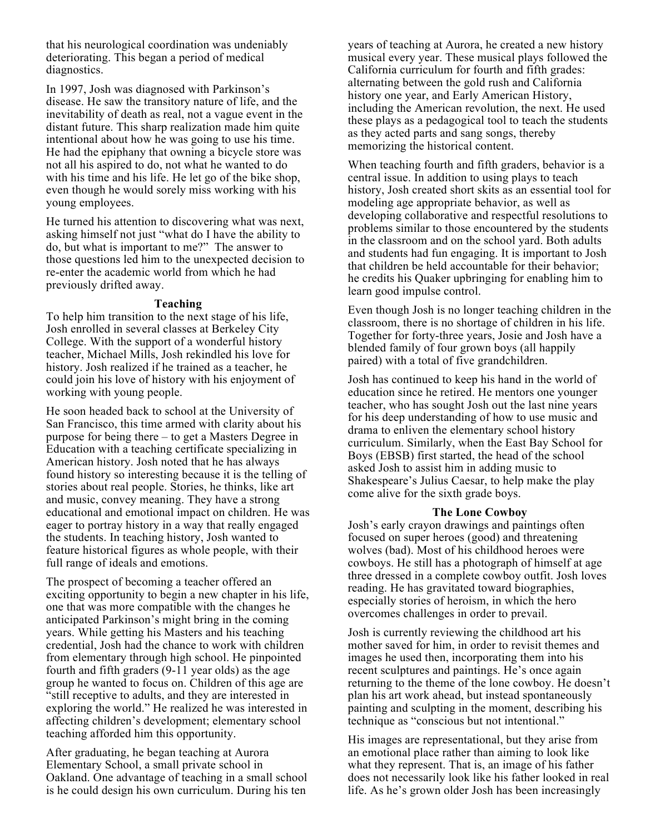that his neurological coordination was undeniably deteriorating. This began a period of medical diagnostics.

In 1997, Josh was diagnosed with Parkinson's disease. He saw the transitory nature of life, and the inevitability of death as real, not a vague event in the distant future. This sharp realization made him quite intentional about how he was going to use his time. He had the epiphany that owning a bicycle store was not all his aspired to do, not what he wanted to do with his time and his life. He let go of the bike shop, even though he would sorely miss working with his young employees.

He turned his attention to discovering what was next, asking himself not just "what do I have the ability to do, but what is important to me?" The answer to those questions led him to the unexpected decision to re-enter the academic world from which he had previously drifted away.

#### **Teaching**

To help him transition to the next stage of his life, Josh enrolled in several classes at Berkeley City College. With the support of a wonderful history teacher, Michael Mills, Josh rekindled his love for history. Josh realized if he trained as a teacher, he could join his love of history with his enjoyment of working with young people.

He soon headed back to school at the University of San Francisco, this time armed with clarity about his purpose for being there – to get a Masters Degree in Education with a teaching certificate specializing in American history. Josh noted that he has always found history so interesting because it is the telling of stories about real people. Stories, he thinks, like art and music, convey meaning. They have a strong educational and emotional impact on children. He was eager to portray history in a way that really engaged the students. In teaching history, Josh wanted to feature historical figures as whole people, with their full range of ideals and emotions.

The prospect of becoming a teacher offered an exciting opportunity to begin a new chapter in his life, one that was more compatible with the changes he anticipated Parkinson's might bring in the coming years. While getting his Masters and his teaching credential, Josh had the chance to work with children from elementary through high school. He pinpointed fourth and fifth graders (9-11 year olds) as the age group he wanted to focus on. Children of this age are "still receptive to adults, and they are interested in exploring the world." He realized he was interested in affecting children's development; elementary school teaching afforded him this opportunity.

After graduating, he began teaching at Aurora Elementary School, a small private school in Oakland. One advantage of teaching in a small school is he could design his own curriculum. During his ten

years of teaching at Aurora, he created a new history musical every year. These musical plays followed the California curriculum for fourth and fifth grades: alternating between the gold rush and California history one year, and Early American History, including the American revolution, the next. He used these plays as a pedagogical tool to teach the students as they acted parts and sang songs, thereby memorizing the historical content.

When teaching fourth and fifth graders, behavior is a central issue. In addition to using plays to teach history, Josh created short skits as an essential tool for modeling age appropriate behavior, as well as developing collaborative and respectful resolutions to problems similar to those encountered by the students in the classroom and on the school yard. Both adults and students had fun engaging. It is important to Josh that children be held accountable for their behavior; he credits his Quaker upbringing for enabling him to learn good impulse control.

Even though Josh is no longer teaching children in the classroom, there is no shortage of children in his life. Together for forty-three years, Josie and Josh have a blended family of four grown boys (all happily paired) with a total of five grandchildren.

Josh has continued to keep his hand in the world of education since he retired. He mentors one younger teacher, who has sought Josh out the last nine years for his deep understanding of how to use music and drama to enliven the elementary school history curriculum. Similarly, when the East Bay School for Boys (EBSB) first started, the head of the school asked Josh to assist him in adding music to Shakespeare's Julius Caesar, to help make the play come alive for the sixth grade boys.

#### **The Lone Cowboy**

Josh's early crayon drawings and paintings often focused on super heroes (good) and threatening wolves (bad). Most of his childhood heroes were cowboys. He still has a photograph of himself at age three dressed in a complete cowboy outfit. Josh loves reading. He has gravitated toward biographies, especially stories of heroism, in which the hero overcomes challenges in order to prevail.

Josh is currently reviewing the childhood art his mother saved for him, in order to revisit themes and images he used then, incorporating them into his recent sculptures and paintings. He's once again returning to the theme of the lone cowboy. He doesn't plan his art work ahead, but instead spontaneously painting and sculpting in the moment, describing his technique as "conscious but not intentional."

His images are representational, but they arise from an emotional place rather than aiming to look like what they represent. That is, an image of his father does not necessarily look like his father looked in real life. As he's grown older Josh has been increasingly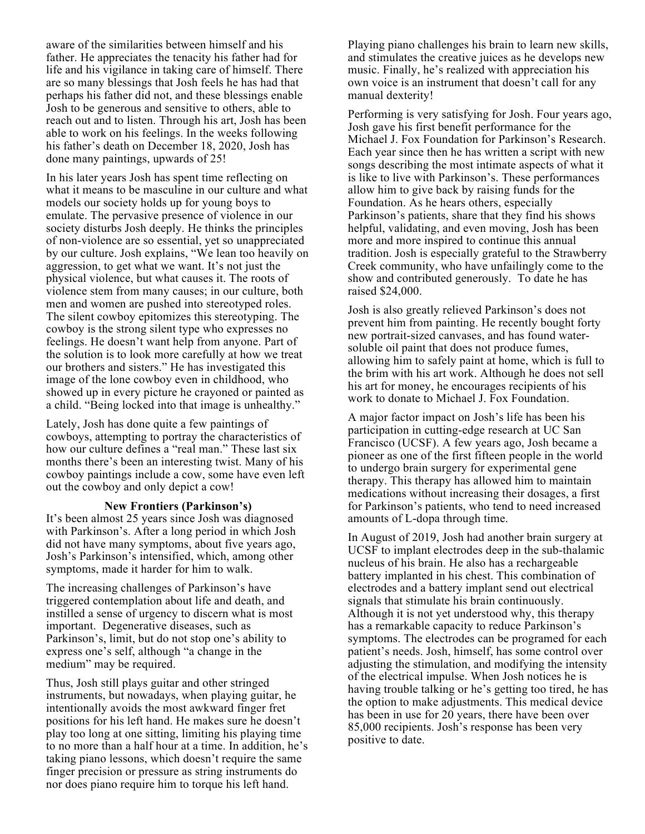aware of the similarities between himself and his father. He appreciates the tenacity his father had for life and his vigilance in taking care of himself. There are so many blessings that Josh feels he has had that perhaps his father did not, and these blessings enable Josh to be generous and sensitive to others, able to reach out and to listen. Through his art, Josh has been able to work on his feelings. In the weeks following his father's death on December 18, 2020, Josh has done many paintings, upwards of 25!

In his later years Josh has spent time reflecting on what it means to be masculine in our culture and what models our society holds up for young boys to emulate. The pervasive presence of violence in our society disturbs Josh deeply. He thinks the principles of non-violence are so essential, yet so unappreciated by our culture. Josh explains, "We lean too heavily on aggression, to get what we want. It's not just the physical violence, but what causes it. The roots of violence stem from many causes; in our culture, both men and women are pushed into stereotyped roles. The silent cowboy epitomizes this stereotyping. The cowboy is the strong silent type who expresses no feelings. He doesn't want help from anyone. Part of the solution is to look more carefully at how we treat our brothers and sisters." He has investigated this image of the lone cowboy even in childhood, who showed up in every picture he crayoned or painted as a child. "Being locked into that image is unhealthy."

Lately, Josh has done quite a few paintings of cowboys, attempting to portray the characteristics of how our culture defines a "real man." These last six months there's been an interesting twist. Many of his cowboy paintings include a cow, some have even left out the cowboy and only depict a cow!

#### **New Frontiers (Parkinson's)**

It's been almost 25 years since Josh was diagnosed with Parkinson's. After a long period in which Josh did not have many symptoms, about five years ago, Josh's Parkinson's intensified, which, among other symptoms, made it harder for him to walk.

The increasing challenges of Parkinson's have triggered contemplation about life and death, and instilled a sense of urgency to discern what is most important. Degenerative diseases, such as Parkinson's, limit, but do not stop one's ability to express one's self, although "a change in the medium" may be required.

Thus, Josh still plays guitar and other stringed instruments, but nowadays, when playing guitar, he intentionally avoids the most awkward finger fret positions for his left hand. He makes sure he doesn't play too long at one sitting, limiting his playing time to no more than a half hour at a time. In addition, he's taking piano lessons, which doesn't require the same finger precision or pressure as string instruments do nor does piano require him to torque his left hand.

Playing piano challenges his brain to learn new skills, and stimulates the creative juices as he develops new music. Finally, he's realized with appreciation his own voice is an instrument that doesn't call for any manual dexterity!

Performing is very satisfying for Josh. Four years ago, Josh gave his first benefit performance for the Michael J. Fox Foundation for Parkinson's Research. Each year since then he has written a script with new songs describing the most intimate aspects of what it is like to live with Parkinson's. These performances allow him to give back by raising funds for the Foundation. As he hears others, especially Parkinson's patients, share that they find his shows helpful, validating, and even moving, Josh has been more and more inspired to continue this annual tradition. Josh is especially grateful to the Strawberry Creek community, who have unfailingly come to the show and contributed generously. To date he has raised \$24,000.

Josh is also greatly relieved Parkinson's does not prevent him from painting. He recently bought forty new portrait-sized canvases, and has found watersoluble oil paint that does not produce fumes, allowing him to safely paint at home, which is full to the brim with his art work. Although he does not sell his art for money, he encourages recipients of his work to donate to Michael J. Fox Foundation.

A major factor impact on Josh's life has been his participation in cutting-edge research at UC San Francisco (UCSF). A few years ago, Josh became a pioneer as one of the first fifteen people in the world to undergo brain surgery for experimental gene therapy. This therapy has allowed him to maintain medications without increasing their dosages, a first for Parkinson's patients, who tend to need increased amounts of L-dopa through time.

In August of 2019, Josh had another brain surgery at UCSF to implant electrodes deep in the sub-thalamic nucleus of his brain. He also has a rechargeable battery implanted in his chest. This combination of electrodes and a battery implant send out electrical signals that stimulate his brain continuously. Although it is not yet understood why, this therapy has a remarkable capacity to reduce Parkinson's symptoms. The electrodes can be programed for each patient's needs. Josh, himself, has some control over adjusting the stimulation, and modifying the intensity of the electrical impulse. When Josh notices he is having trouble talking or he's getting too tired, he has the option to make adjustments. This medical device has been in use for 20 years, there have been over 85,000 recipients. Josh's response has been very positive to date.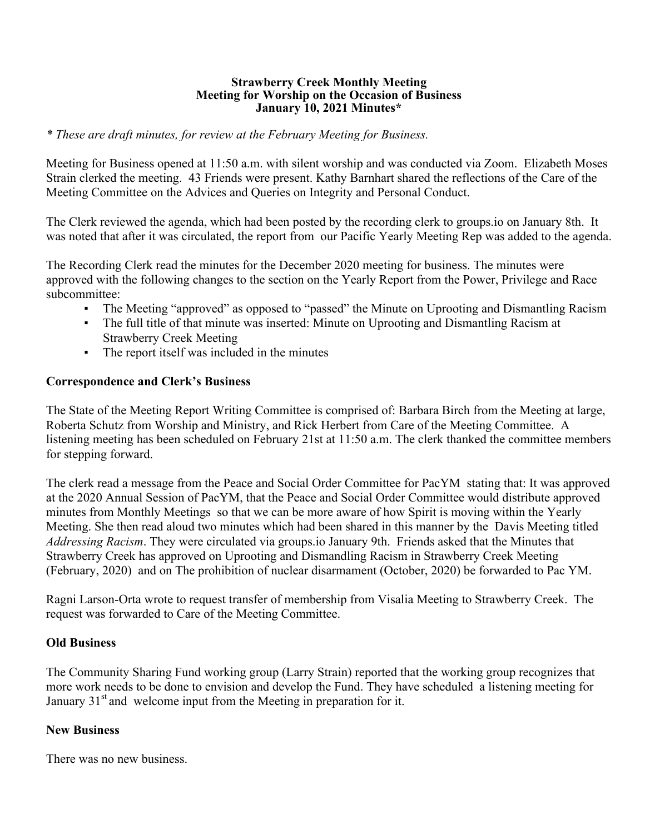#### **Strawberry Creek Monthly Meeting Meeting for Worship on the Occasion of Business January 10, 2021 Minutes\***

## *\* These are draft minutes, for review at the February Meeting for Business.*

Meeting for Business opened at 11:50 a.m. with silent worship and was conducted via Zoom. Elizabeth Moses Strain clerked the meeting. 43 Friends were present. Kathy Barnhart shared the reflections of the Care of the Meeting Committee on the Advices and Queries on Integrity and Personal Conduct.

The Clerk reviewed the agenda, which had been posted by the recording clerk to groups.io on January 8th. It was noted that after it was circulated, the report from our Pacific Yearly Meeting Rep was added to the agenda.

The Recording Clerk read the minutes for the December 2020 meeting for business. The minutes were approved with the following changes to the section on the Yearly Report from the Power, Privilege and Race subcommittee:

- The Meeting "approved" as opposed to "passed" the Minute on Uprooting and Dismantling Racism
- The full title of that minute was inserted: Minute on Uprooting and Dismantling Racism at Strawberry Creek Meeting
- The report itself was included in the minutes

# **Correspondence and Clerk's Business**

The State of the Meeting Report Writing Committee is comprised of: Barbara Birch from the Meeting at large, Roberta Schutz from Worship and Ministry, and Rick Herbert from Care of the Meeting Committee. A listening meeting has been scheduled on February 21st at 11:50 a.m. The clerk thanked the committee members for stepping forward.

The clerk read a message from the Peace and Social Order Committee for PacYM stating that: It was approved at the 2020 Annual Session of PacYM, that the Peace and Social Order Committee would distribute approved minutes from Monthly Meetings so that we can be more aware of how Spirit is moving within the Yearly Meeting. She then read aloud two minutes which had been shared in this manner by the Davis Meeting titled *Addressing Racism*. They were circulated via groups.io January 9th. Friends asked that the Minutes that Strawberry Creek has approved on Uprooting and Dismandling Racism in Strawberry Creek Meeting (February, 2020) and on The prohibition of nuclear disarmament (October, 2020) be forwarded to Pac YM.

Ragni Larson-Orta wrote to request transfer of membership from Visalia Meeting to Strawberry Creek. The request was forwarded to Care of the Meeting Committee.

# **Old Business**

The Community Sharing Fund working group (Larry Strain) reported that the working group recognizes that more work needs to be done to envision and develop the Fund. They have scheduled a listening meeting for January  $31<sup>st</sup>$  and welcome input from the Meeting in preparation for it.

# **New Business**

There was no new business.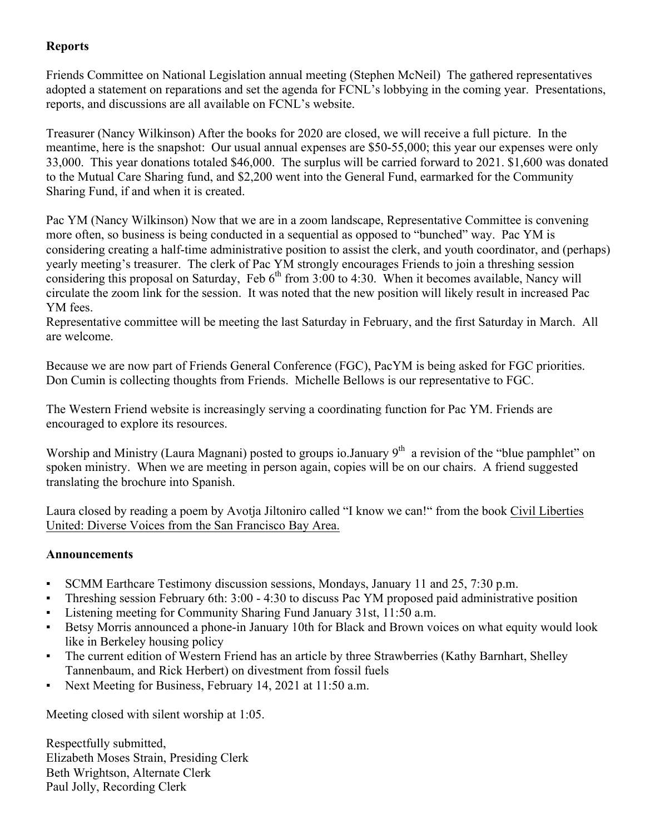# **Reports**

Friends Committee on National Legislation annual meeting (Stephen McNeil) The gathered representatives adopted a statement on reparations and set the agenda for FCNL's lobbying in the coming year. Presentations, reports, and discussions are all available on FCNL's website.

Treasurer (Nancy Wilkinson) After the books for 2020 are closed, we will receive a full picture. In the meantime, here is the snapshot: Our usual annual expenses are \$50-55,000; this year our expenses were only 33,000. This year donations totaled \$46,000. The surplus will be carried forward to 2021. \$1,600 was donated to the Mutual Care Sharing fund, and \$2,200 went into the General Fund, earmarked for the Community Sharing Fund, if and when it is created.

Pac YM (Nancy Wilkinson) Now that we are in a zoom landscape, Representative Committee is convening more often, so business is being conducted in a sequential as opposed to "bunched" way. Pac YM is considering creating a half-time administrative position to assist the clerk, and youth coordinator, and (perhaps) yearly meeting's treasurer. The clerk of Pac YM strongly encourages Friends to join a threshing session considering this proposal on Saturday, Feb  $6<sup>th</sup>$  from 3:00 to 4:30. When it becomes available, Nancy will circulate the zoom link for the session. It was noted that the new position will likely result in increased Pac YM fees.

Representative committee will be meeting the last Saturday in February, and the first Saturday in March. All are welcome.

Because we are now part of Friends General Conference (FGC), PacYM is being asked for FGC priorities. Don Cumin is collecting thoughts from Friends. Michelle Bellows is our representative to FGC.

The Western Friend website is increasingly serving a coordinating function for Pac YM. Friends are encouraged to explore its resources.

Worship and Ministry (Laura Magnani) posted to groups io.January  $9<sup>th</sup>$  a revision of the "blue pamphlet" on spoken ministry. When we are meeting in person again, copies will be on our chairs. A friend suggested translating the brochure into Spanish.

Laura closed by reading a poem by Avotja Jiltoniro called "I know we can!" from the book Civil Liberties United: Diverse Voices from the San Francisco Bay Area.

# **Announcements**

- SCMM Earthcare Testimony discussion sessions, Mondays, January 11 and 25, 7:30 p.m.
- Threshing session February 6th: 3:00 4:30 to discuss Pac YM proposed paid administrative position
- Listening meeting for Community Sharing Fund January 31st, 11:50 a.m.
- Betsy Morris announced a phone-in January 10th for Black and Brown voices on what equity would look like in Berkeley housing policy
- The current edition of Western Friend has an article by three Strawberries (Kathy Barnhart, Shelley Tannenbaum, and Rick Herbert) on divestment from fossil fuels
- Next Meeting for Business, February 14, 2021 at 11:50 a.m.

Meeting closed with silent worship at 1:05.

Respectfully submitted, Elizabeth Moses Strain, Presiding Clerk Beth Wrightson, Alternate Clerk Paul Jolly, Recording Clerk